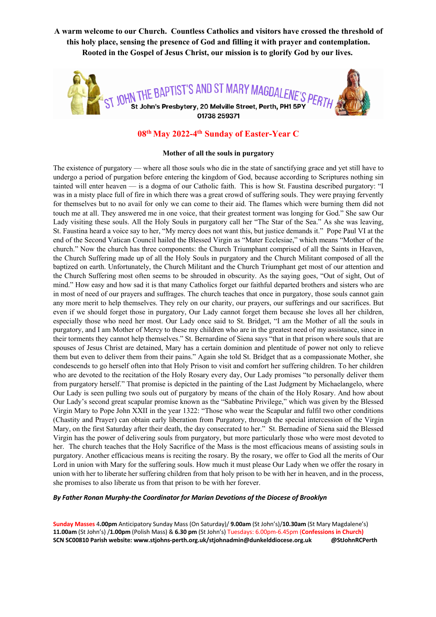**A warm welcome to our Church. Countless Catholics and visitors have crossed the threshold of this holy place, sensing the presence of God and filling it with prayer and contemplation. Rooted in the Gospel of Jesus Christ, our mission is to glorify God by our lives.**



# **08th May 2022-4th Sunday of Easter-Year C**

#### **Mother of all the souls in purgatory**

The existence of purgatory — where all those souls who die in the state of sanctifying grace and yet still have to undergo a period of purgation before entering the kingdom of God, because according to Scriptures nothing sin tainted will enter heaven — is a dogma of our Catholic faith. This is how St. Faustina described purgatory: "I was in a misty place full of fire in which there was a great crowd of suffering souls. They were praying fervently for themselves but to no avail for only we can come to their aid. The flames which were burning them did not touch me at all. They answered me in one voice, that their greatest torment was longing for God." She saw Our Lady visiting these souls. All the Holy Souls in purgatory call her "The Star of the Sea." As she was leaving, St. Faustina heard a voice say to her, "My mercy does not want this, but justice demands it." Pope Paul VI at the end of the Second Vatican Council hailed the Blessed Virgin as "Mater Ecclesiae," which means "Mother of the church." Now the church has three components: the Church Triumphant comprised of all the Saints in Heaven, the Church Suffering made up of all the Holy Souls in purgatory and the Church Militant composed of all the baptized on earth. Unfortunately, the Church Militant and the Church Triumphant get most of our attention and the Church Suffering most often seems to be shrouded in obscurity. As the saying goes, "Out of sight, Out of mind." How easy and how sad it is that many Catholics forget our faithful departed brothers and sisters who are in most of need of our prayers and suffrages. The church teaches that once in purgatory, those souls cannot gain any more merit to help themselves. They rely on our charity, our prayers, our sufferings and our sacrifices. But even if we should forget those in purgatory, Our Lady cannot forget them because she loves all her children, especially those who need her most. Our Lady once said to St. Bridget, "I am the Mother of all the souls in purgatory, and I am Mother of Mercy to these my children who are in the greatest need of my assistance, since in their torments they cannot help themselves." St. Bernardine of Siena says "that in that prison where souls that are spouses of Jesus Christ are detained, Mary has a certain dominion and plentitude of power not only to relieve them but even to deliver them from their pains." Again she told St. Bridget that as a compassionate Mother, she condescends to go herself often into that Holy Prison to visit and comfort her suffering children. To her children who are devoted to the recitation of the Holy Rosary every day, Our Lady promises "to personally deliver them from purgatory herself." That promise is depicted in the painting of the Last Judgment by Michaelangelo, where Our Lady is seen pulling two souls out of purgatory by means of the chain of the Holy Rosary. And how about Our Lady's second great scapular promise known as the "Sabbatine Privilege," which was given by the Blessed Virgin Mary to Pope John XXII in the year 1322: "Those who wear the Scapular and fulfil two other conditions (Chastity and Prayer) can obtain early liberation from Purgatory, through the special intercession of the Virgin Mary, on the first Saturday after their death, the day consecrated to her." St. Bernadine of Siena said the Blessed Virgin has the power of delivering souls from purgatory, but more particularly those who were most devoted to her. The church teaches that the Holy Sacrifice of the Mass is the most efficacious means of assisting souls in purgatory. Another efficacious means is reciting the rosary. By the rosary, we offer to God all the merits of Our Lord in union with Mary for the suffering souls. How much it must please Our Lady when we offer the rosary in union with her to liberate her suffering children from that holy prison to be with her in heaven, and in the process, she promises to also liberate us from that prison to be with her forever.

*By Father Ronan Murphy-the Coordinator for Marian Devotions of the Diocese of Brooklyn*

**Sunday Masses** 4**.00pm** Anticipatory Sunday Mass (On Saturday)/ **9.00am** (St John's)/**10.30am** (St Mary Magdalene's) **11.00am** (St John's) /**1.00pm** (Polish Mass) & **6.30 pm** (St John's) Tuesdays: 6.00pm-6.45pm (**Confessions in Church) SCN SC00810 Parish website: www.stjohns-perth.org.uk/stjohnadmin@dunkelddiocese.org.uk @StJohnRCPerth**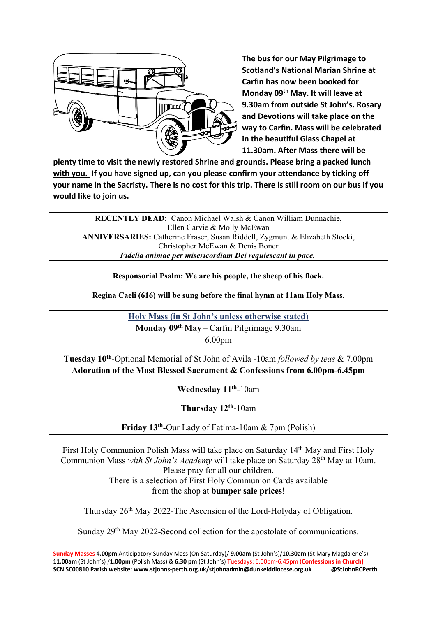

**The bus for our May Pilgrimage to Scotland's National Marian Shrine at Carfin has now been booked for Monday 09th May. It will leave at 9.30am from outside St John's. Rosary and Devotions will take place on the way to Carfin. Mass will be celebrated in the beautiful Glass Chapel at 11.30am. After Mass there will be** 

**plenty time to visit the newly restored Shrine and grounds. Please bring a packed lunch with you. If you have signed up, can you please confirm your attendance by ticking off your name in the Sacristy. There is no cost for this trip. There is still room on our bus if you would like to join us.** 

**RECENTLY DEAD:** Canon Michael Walsh & Canon William Dunnachie, Ellen Garvie & Molly McEwan **ANNIVERSARIES:** Catherine Fraser, Susan Riddell, Zygmunt & Elizabeth Stocki, Christopher McEwan & Denis Boner *Fidelia animae per misericordiam Dei requiescant in pace.*

**Responsorial Psalm: We are his people, the sheep of his flock.**

**Regina Caeli (616) will be sung before the final hymn at 11am Holy Mass.**

**Holy Mass (in St John's unless otherwise stated) Monday 09th May** – Carfin Pilgrimage 9.30am 6.00pm

**Tuesday 10th**-Optional Memorial of St John of Ávila -10am *followed by teas* & 7.00pm **Adoration of the Most Blessed Sacrament & Confessions from 6.00pm-6.45pm** 

**Wednesday 11th-**10am

**Thursday 12th**-10am

**Friday 13th**-Our Lady of Fatima-10am & 7pm (Polish)

First Holy Communion Polish Mass will take place on Saturday 14th May and First Holy Communion Mass *with St John's Academy* will take place on Saturday 28th May at 10am. Please pray for all our children. There is a selection of First Holy Communion Cards available from the shop at **bumper sale prices**!

Thursday 26th May 2022-The Ascension of the Lord-Holyday of Obligation.

Sunday 29th May 2022-Second collection for the apostolate of communications.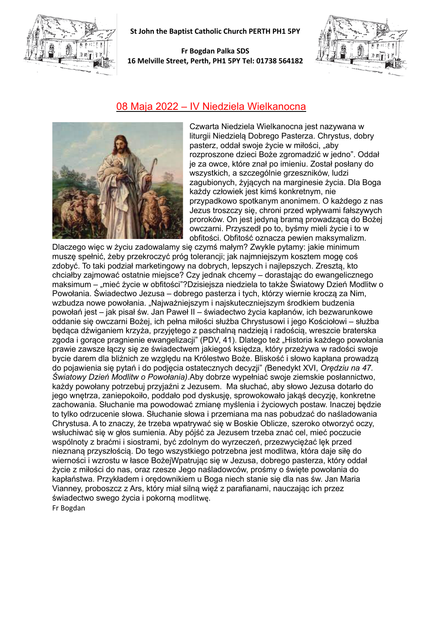

**St John the Baptist Catholic Church PERTH PH1 5PY**

### **Fr Bogdan Palka SDS 16 Melville Street, Perth, PH1 5PY Tel: 01738 564182**



## 08 Maja 2022 – IV Niedziela Wielkanocna



Czwarta Niedziela Wielkanocna jest nazywana w liturgii Niedzielą Dobrego Pasterza. Chrystus, dobry pasterz, oddał swoje życie w miłości, "aby rozproszone dzieci Boże zgromadzić w jedno". Oddał je za owce, które znał po imieniu. Został posłany do wszystkich, a szczególnie grzeszników, ludzi zagubionych, żyjących na marginesie życia. Dla Boga każdy człowiek jest kimś konkretnym, nie przypadkowo spotkanym anonimem. O każdego z nas Jezus troszczy się, chroni przed wpływami fałszywych proroków. On jest jedyną bramą prowadzącą do Bożej owczarni. Przyszedł po to, byśmy mieli życie i to w obfitości. Obfitość oznacza pewien maksymalizm.

Dlaczego więc w życiu zadowalamy się czymś małym? Zwykle pytamy: jakie minimum muszę spełnić, żeby przekroczyć próg tolerancji; jak najmniejszym kosztem mogę coś zdobyć. To taki podział marketingowy na dobrych, lepszych i najlepszych. Zresztą, kto chciałby zajmować ostatnie miejsce? Czy jednak chcemy – dorastając do ewangelicznego maksimum – "mieć życie w obfitości"?Dzisiejsza niedziela to także Światowy Dzień Modlitw o Powołania. Świadectwo Jezusa – dobrego pasterza i tych, którzy wiernie kroczą za Nim, wzbudza nowe powołania. "Najważniejszym i najskuteczniejszym środkiem budzenia powołań jest – jak pisał św. Jan Paweł II – świadectwo życia kapłanów, ich bezwarunkowe oddanie się owczarni Bożej, ich pełna miłości służba Chrystusowi i jego Kościołowi – służba będąca dźwiganiem krzyża, przyjętego z paschalną nadzieją i radością, wreszcie braterska zgoda i gorące pragnienie ewangelizacji" (PDV, 41). Dlatego też "Historia każdego powołania prawie zawsze łączy się ze świadectwem jakiegoś księdza, który przeżywa w radości swoje bycie darem dla bliźnich ze względu na Królestwo Boże. Bliskość i słowo kapłana prowadzą do pojawienia się pytań i do podjęcia ostatecznych decyzji" *(*Benedykt XVI, *Orędziu na 47. Światowy Dzień Modlitw o Powołania)*.Aby dobrze wypełniać swoje ziemskie posłannictwo, każdy powołany potrzebuj przyjaźni z Jezusem. Ma słuchać, aby słowo Jezusa dotarło do jego wnętrza, zaniepokoiło, poddało pod dyskusję, sprowokowało jakąś decyzję, konkretne zachowania. Słuchanie ma powodować zmianę myślenia i życiowych postaw. Inaczej będzie to tylko odrzucenie słowa. Słuchanie słowa i przemiana ma nas pobudzać do naśladowania Chrystusa. A to znaczy, że trzeba wpatrywać się w Boskie Oblicze, szeroko otworzyć oczy, wsłuchiwać się w głos sumienia. Aby pójść za Jezusem trzeba znać cel, mieć poczucie wspólnoty z braćmi i siostrami, być zdolnym do wyrzeczeń, przezwyciężać lęk przed nieznaną przyszłością. Do tego wszystkiego potrzebna jest modlitwa, która daje siłę do wierności i wzrostu w łasce BożejWpatrując się w Jezusa, dobrego pasterza, który oddał życie z miłości do nas, oraz rzesze Jego naśladowców, prośmy o święte powołania do kapłaństwa. Przykładem i orędownikiem u Boga niech stanie się dla nas św. Jan Maria Vianney, proboszcz z Ars, który miał silną więź z parafianami, nauczając ich przez świadectwo swego życia i pokorną modlitwę. Fr Bogdan